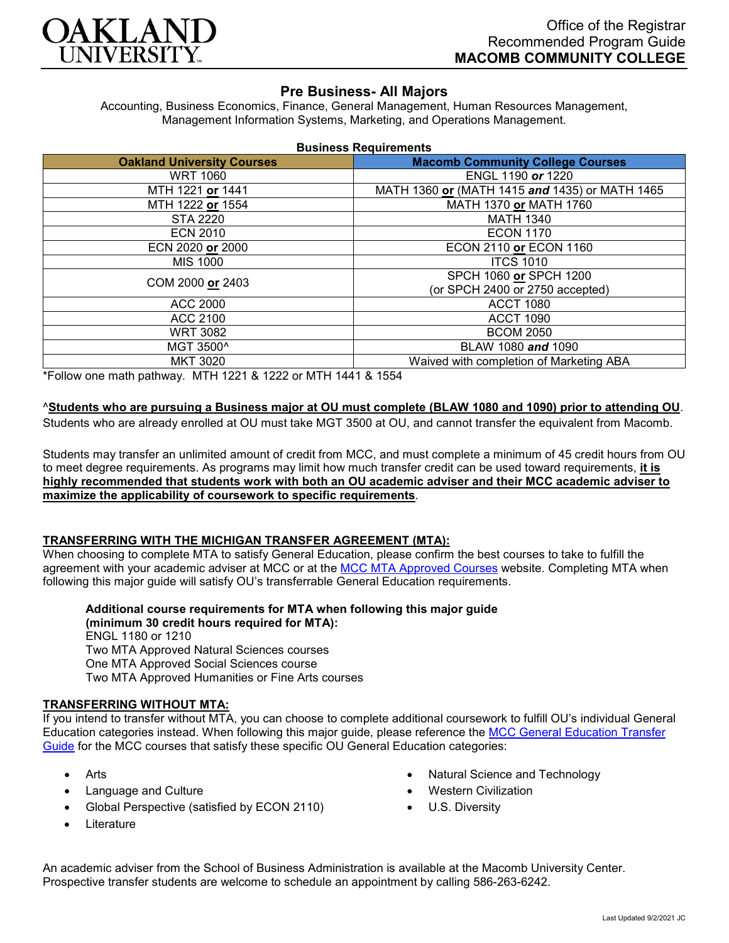

# **Pre Business- All Majors**

Accounting, Business Economics, Finance, General Management, Human Resources Management, Management Information Systems, Marketing, and Operations Management.

| <b>Business Requirements</b> |  |  |  |
|------------------------------|--|--|--|
|------------------------------|--|--|--|

| <b>Oakland University Courses</b> | <b>Macomb Community College Courses</b>        |  |
|-----------------------------------|------------------------------------------------|--|
| <b>WRT 1060</b>                   | ENGL 1190 or 1220                              |  |
| MTH 1221 or 1441                  | MATH 1360 or (MATH 1415 and 1435) or MATH 1465 |  |
| MTH 1222 or 1554                  | MATH 1370 or MATH 1760                         |  |
| <b>STA 2220</b>                   | <b>MATH 1340</b>                               |  |
| <b>ECN 2010</b>                   | <b>ECON 1170</b>                               |  |
| ECN 2020 or 2000                  | ECON 2110 or ECON 1160                         |  |
| <b>MIS 1000</b>                   | <b>ITCS 1010</b>                               |  |
| COM 2000 or 2403                  | SPCH 1060 or SPCH 1200                         |  |
|                                   | (or SPCH 2400 or 2750 accepted)                |  |
| <b>ACC 2000</b>                   | <b>ACCT 1080</b>                               |  |
| ACC 2100                          | <b>ACCT 1090</b>                               |  |
| <b>WRT 3082</b>                   | <b>BCOM 2050</b>                               |  |
| MGT 3500^                         | BLAW 1080 and 1090                             |  |
| <b>MKT 3020</b>                   | Waived with completion of Marketing ABA        |  |

\*Follow one math pathway. MTH 1221 & 1222 or MTH 1441 & 1554

#### ^**Students who are pursuing a Business major at OU must complete (BLAW 1080 and 1090) prior to attending OU**.

Students who are already enrolled at OU must take MGT 3500 at OU, and cannot transfer the equivalent from Macomb.

Students may transfer an unlimited amount of credit from MCC, and must complete a minimum of 45 credit hours from OU to meet degree requirements. As programs may limit how much transfer credit can be used toward requirements, **it is highly recommended that students work with both an OU academic adviser and their MCC academic adviser to maximize the applicability of coursework to specific requirements**.

#### **TRANSFERRING WITH THE MICHIGAN TRANSFER AGREEMENT (MTA):**

When choosing to complete MTA to satisfy General Education, please confirm the best courses to take to fulfill the agreement with your academic adviser at MCC or at the [MCC MTA Approved Courses](https://www.macomb.edu/resources/transfer-articulation/attachments/mta-macrao-course-list.pdf) website. Completing MTA when following this major guide will satisfy OU's transferrable General Education requirements.

**Additional course requirements for MTA when following this major guide (minimum 30 credit hours required for MTA):**

ENGL 1180 or 1210 Two MTA Approved Natural Sciences courses One MTA Approved Social Sciences course Two MTA Approved Humanities or Fine Arts courses

#### **TRANSFERRING WITHOUT MTA:**

If you intend to transfer without MTA, you can choose to complete additional coursework to fulfill OU's individual General Education categories instead. When following this major guide, please reference the [MCC General Education Transfer](https://www.oakland.edu/Assets/Oakland/program-guides/macomb-community-college/university-general-education-requirements/MCC%20Gen%20Ed.pdf)  [Guide](https://www.oakland.edu/Assets/Oakland/program-guides/macomb-community-college/university-general-education-requirements/MCC%20Gen%20Ed.pdf) for the MCC courses that satisfy these specific OU General Education categories:

- Arts
- Language and Culture
- Global Perspective (satisfied by ECON 2110)
- **Literature**
- Natural Science and Technology
- Western Civilization
- U.S. Diversity

An academic adviser from the School of Business Administration is available at the Macomb University Center. Prospective transfer students are welcome to schedule an appointment by calling 586-263-6242.